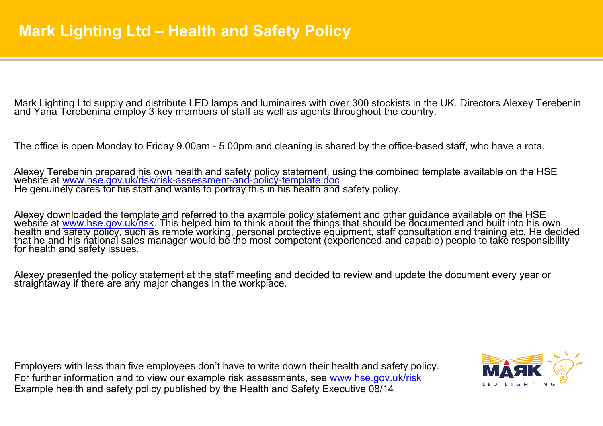Mark Lighting Ltd supply and distribute LED lamps and luminaires with over 300 stockists in the UK. Directors Alexey Terebenin<br>and Yana Terebenina employ 3 key members of staff as well as agents throughout the country.

The office is open Monday to Friday 9.00am - 5.00pm and cleaning is shared by the office-based staff, who have a rota.

Alexey Terebenin prepared his own health and safety policy statement, using the combined template available on the HSE website at www.hse.gov.uk/risk/risk/assessment-and-policy-template.doc<br>He genuinely cares for his staff

Alexey downloaded the template and referred to the example policy statement and other guidance available on the HSE website at www.hse.gov.uk/risk. This helped him to think about the things that should be documented and built into his own health and safety policy, such as remote working, personal protective equipment, staff consultation and training etc. He decided that he and his national sales manager would be the most competent (experienced and capable) people to take responsibility for health and safety issues.

Alexey presented the policy statement at the staff meeting and decided to review and update the document every year or straightaway if there are any major changes in the workplace.

Employers with less than five employees don't have to write down their health and safety policy. For further information and to view our example risk assessments, see www.hse.gov.uk/risk Example health and safety policy published by the Health and Safety Executive 08/14